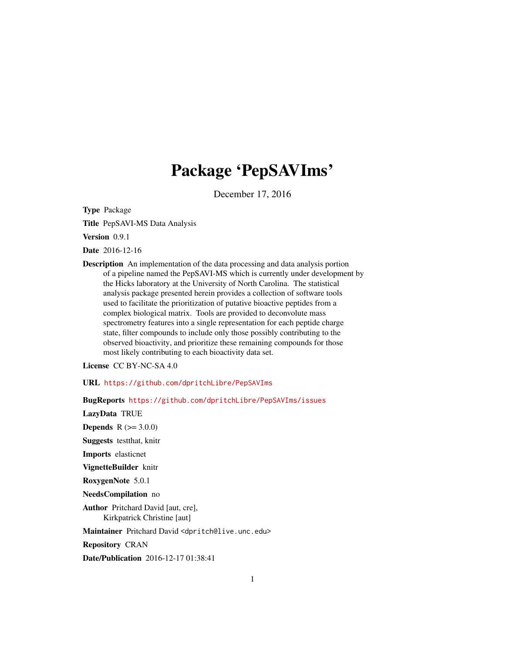# Package 'PepSAVIms'

December 17, 2016

Type Package

Title PepSAVI-MS Data Analysis

Version 0.9.1

Date 2016-12-16

Description An implementation of the data processing and data analysis portion of a pipeline named the PepSAVI-MS which is currently under development by the Hicks laboratory at the University of North Carolina. The statistical analysis package presented herein provides a collection of software tools used to facilitate the prioritization of putative bioactive peptides from a complex biological matrix. Tools are provided to deconvolute mass spectrometry features into a single representation for each peptide charge state, filter compounds to include only those possibly contributing to the observed bioactivity, and prioritize these remaining compounds for those most likely contributing to each bioactivity data set.

License CC BY-NC-SA 4.0

URL <https://github.com/dpritchLibre/PepSAVIms>

BugReports <https://github.com/dpritchLibre/PepSAVIms/issues> LazyData TRUE **Depends**  $R (= 3.0.0)$ Suggests testthat, knitr Imports elasticnet VignetteBuilder knitr RoxygenNote 5.0.1 NeedsCompilation no Author Pritchard David [aut, cre], Kirkpatrick Christine [aut] Maintainer Pritchard David <dpritch@live.unc.edu> Repository CRAN Date/Publication 2016-12-17 01:38:41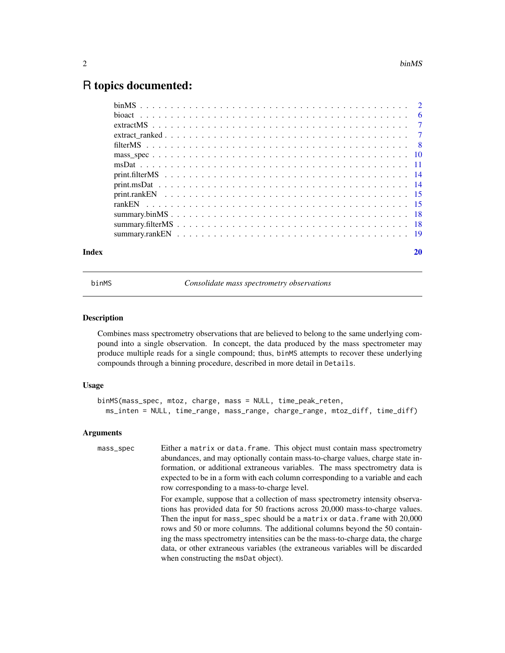# <span id="page-1-0"></span>R topics documented:

| Index | 20 |
|-------|----|
|       |    |
|       |    |
|       |    |
|       |    |
|       |    |
|       |    |
|       |    |
|       |    |
|       |    |
|       |    |
|       |    |
|       |    |
|       |    |
|       |    |

<span id="page-1-1"></span>

binMS *Consolidate mass spectrometry observations*

# Description

Combines mass spectrometry observations that are believed to belong to the same underlying compound into a single observation. In concept, the data produced by the mass spectrometer may produce multiple reads for a single compound; thus, binMS attempts to recover these underlying compounds through a binning procedure, described in more detail in Details.

# Usage

```
binMS(mass_spec, mtoz, charge, mass = NULL, time_peak_reten,
 ms_inten = NULL, time_range, mass_range, charge_range, mtoz_diff, time_diff)
```

| mass_spec | Either a matrix or data. frame. This object must contain mass spectrometry       |
|-----------|----------------------------------------------------------------------------------|
|           | abundances, and may optionally contain mass-to-charge values, charge state in-   |
|           | formation, or additional extraneous variables. The mass spectrometry data is     |
|           | expected to be in a form with each column corresponding to a variable and each   |
|           | row corresponding to a mass-to-charge level.                                     |
|           | For example, suppose that a collection of mass spectrometry intensity observa-   |
|           | tions has provided data for 50 fractions across 20,000 mass-to-charge values.    |
|           | Then the input for mass_spec should be a matrix or data. frame with 20,000       |
|           | rows and 50 or more columns. The additional columns beyond the 50 contain-       |
|           | ing the mass spectrometry intensities can be the mass-to-charge data, the charge |
|           | data, or other extraneous variables (the extraneous variables will be discarded  |
|           | when constructing the msDat object).                                             |
|           |                                                                                  |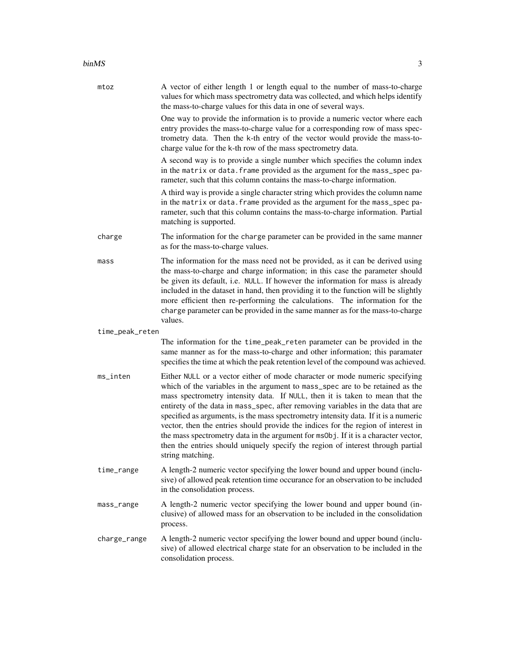#### $\mu_{\rm{B}}$  3

| mtoz            | A vector of either length 1 or length equal to the number of mass-to-charge<br>values for which mass spectrometry data was collected, and which helps identify<br>the mass-to-charge values for this data in one of several ways.<br>One way to provide the information is to provide a numeric vector where each<br>entry provides the mass-to-charge value for a corresponding row of mass spec-<br>trometry data. Then the k-th entry of the vector would provide the mass-to-<br>charge value for the k-th row of the mass spectrometry data.<br>A second way is to provide a single number which specifies the column index<br>in the matrix or data. frame provided as the argument for the mass_spec pa-<br>rameter, such that this column contains the mass-to-charge information.<br>A third way is provide a single character string which provides the column name<br>in the matrix or data. frame provided as the argument for the mass_spec pa-<br>rameter, such that this column contains the mass-to-charge information. Partial<br>matching is supported. |
|-----------------|---------------------------------------------------------------------------------------------------------------------------------------------------------------------------------------------------------------------------------------------------------------------------------------------------------------------------------------------------------------------------------------------------------------------------------------------------------------------------------------------------------------------------------------------------------------------------------------------------------------------------------------------------------------------------------------------------------------------------------------------------------------------------------------------------------------------------------------------------------------------------------------------------------------------------------------------------------------------------------------------------------------------------------------------------------------------------|
| charge          | The information for the charge parameter can be provided in the same manner<br>as for the mass-to-charge values.                                                                                                                                                                                                                                                                                                                                                                                                                                                                                                                                                                                                                                                                                                                                                                                                                                                                                                                                                          |
| mass            | The information for the mass need not be provided, as it can be derived using<br>the mass-to-charge and charge information; in this case the parameter should<br>be given its default, i.e. NULL. If however the information for mass is already<br>included in the dataset in hand, then providing it to the function will be slightly<br>more efficient then re-performing the calculations. The information for the<br>charge parameter can be provided in the same manner as for the mass-to-charge<br>values.                                                                                                                                                                                                                                                                                                                                                                                                                                                                                                                                                        |
| time_peak_reten |                                                                                                                                                                                                                                                                                                                                                                                                                                                                                                                                                                                                                                                                                                                                                                                                                                                                                                                                                                                                                                                                           |
|                 | The information for the time_peak_reten parameter can be provided in the<br>same manner as for the mass-to-charge and other information; this paramater<br>specifies the time at which the peak retention level of the compound was achieved.                                                                                                                                                                                                                                                                                                                                                                                                                                                                                                                                                                                                                                                                                                                                                                                                                             |
| ms_inten        | Either NULL or a vector either of mode character or mode numeric specifying<br>which of the variables in the argument to mass_spec are to be retained as the<br>mass spectrometry intensity data. If NULL, then it is taken to mean that the<br>entirety of the data in mass_spec, after removing variables in the data that are<br>specified as arguments, is the mass spectrometry intensity data. If it is a numeric<br>vector, then the entries should provide the indices for the region of interest in<br>the mass spectrometry data in the argument for ms0bj. If it is a character vector,<br>then the entries should uniquely specify the region of interest through partial<br>string matching.                                                                                                                                                                                                                                                                                                                                                                 |
| time_range      | A length-2 numeric vector specifying the lower bound and upper bound (inclu-<br>sive) of allowed peak retention time occurance for an observation to be included<br>in the consolidation process.                                                                                                                                                                                                                                                                                                                                                                                                                                                                                                                                                                                                                                                                                                                                                                                                                                                                         |
| mass_range      | A length-2 numeric vector specifying the lower bound and upper bound (in-<br>clusive) of allowed mass for an observation to be included in the consolidation<br>process.                                                                                                                                                                                                                                                                                                                                                                                                                                                                                                                                                                                                                                                                                                                                                                                                                                                                                                  |
| charge_range    | A length-2 numeric vector specifying the lower bound and upper bound (inclu-<br>sive) of allowed electrical charge state for an observation to be included in the<br>consolidation process.                                                                                                                                                                                                                                                                                                                                                                                                                                                                                                                                                                                                                                                                                                                                                                                                                                                                               |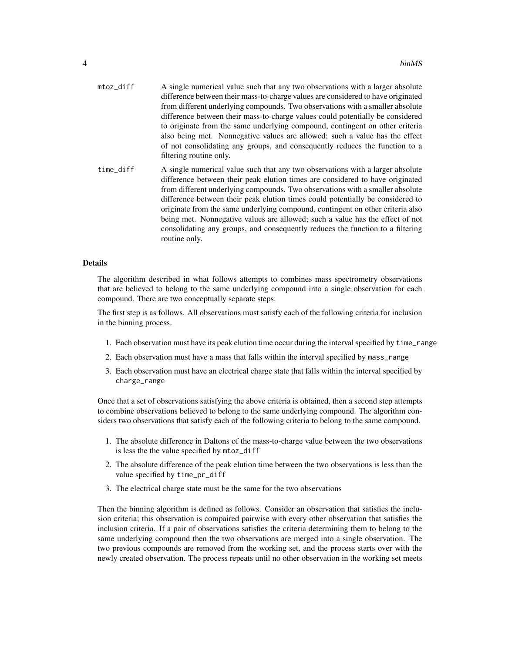| mtoz_diff | A single numerical value such that any two observations with a larger absolute<br>difference between their mass-to-charge values are considered to have originated<br>from different underlying compounds. Two observations with a smaller absolute<br>difference between their mass-to-charge values could potentially be considered<br>to originate from the same underlying compound, contingent on other criteria<br>also being met. Nonnegative values are allowed; such a value has the effect<br>of not consolidating any groups, and consequently reduces the function to a<br>filtering routine only. |
|-----------|----------------------------------------------------------------------------------------------------------------------------------------------------------------------------------------------------------------------------------------------------------------------------------------------------------------------------------------------------------------------------------------------------------------------------------------------------------------------------------------------------------------------------------------------------------------------------------------------------------------|
| time_diff | A single numerical value such that any two observations with a larger absolute<br>difference between their peak elution times are considered to have originated<br>from different underlying compounds. Two observations with a smaller absolute<br>difference between their peak elution times could potentially be considered to<br>originate from the same underlying compound, contingent on other criteria also<br>being met. Nonnegative values are allowed; such a value has the effect of not<br>consolidating any groups, and consequently reduces the function to a filtering<br>routine only.       |

#### Details

The algorithm described in what follows attempts to combines mass spectrometry observations that are believed to belong to the same underlying compound into a single observation for each compound. There are two conceptually separate steps.

The first step is as follows. All observations must satisfy each of the following criteria for inclusion in the binning process.

- 1. Each observation must have its peak elution time occur during the interval specified by time\_range
- 2. Each observation must have a mass that falls within the interval specified by mass\_range
- 3. Each observation must have an electrical charge state that falls within the interval specified by charge\_range

Once that a set of observations satisfying the above criteria is obtained, then a second step attempts to combine observations believed to belong to the same underlying compound. The algorithm considers two observations that satisfy each of the following criteria to belong to the same compound.

- 1. The absolute difference in Daltons of the mass-to-charge value between the two observations is less the the value specified by mtoz\_diff
- 2. The absolute difference of the peak elution time between the two observations is less than the value specified by time\_pr\_diff
- 3. The electrical charge state must be the same for the two observations

Then the binning algorithm is defined as follows. Consider an observation that satisfies the inclusion criteria; this observation is compaired pairwise with every other observation that satisfies the inclusion criteria. If a pair of observations satisfies the criteria determining them to belong to the same underlying compound then the two observations are merged into a single observation. The two previous compounds are removed from the working set, and the process starts over with the newly created observation. The process repeats until no other observation in the working set meets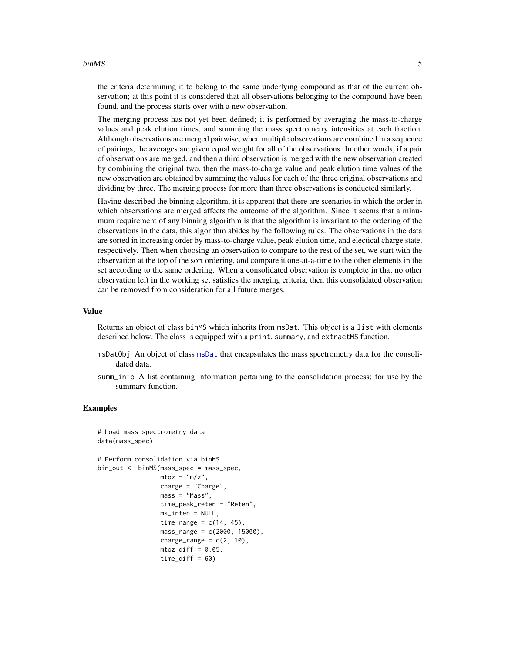#### <span id="page-4-0"></span>binMS 5

the criteria determining it to belong to the same underlying compound as that of the current observation; at this point it is considered that all observations belonging to the compound have been found, and the process starts over with a new observation.

The merging process has not yet been defined; it is performed by averaging the mass-to-charge values and peak elution times, and summing the mass spectrometry intensities at each fraction. Although observations are merged pairwise, when multiple observations are combined in a sequence of pairings, the averages are given equal weight for all of the observations. In other words, if a pair of observations are merged, and then a third observation is merged with the new observation created by combining the original two, then the mass-to-charge value and peak elution time values of the new observation are obtained by summing the values for each of the three original observations and dividing by three. The merging process for more than three observations is conducted similarly.

Having described the binning algorithm, it is apparent that there are scenarios in which the order in which observations are merged affects the outcome of the algorithm. Since it seems that a minumum requirement of any binning algorithm is that the algorithm is invariant to the ordering of the observations in the data, this algorithm abides by the following rules. The observations in the data are sorted in increasing order by mass-to-charge value, peak elution time, and electical charge state, respectively. Then when choosing an observation to compare to the rest of the set, we start with the observation at the top of the sort ordering, and compare it one-at-a-time to the other elements in the set according to the same ordering. When a consolidated observation is complete in that no other observation left in the working set satisfies the merging criteria, then this consolidated observation can be removed from consideration for all future merges.

#### Value

Returns an object of class binMS which inherits from msDat. This object is a list with elements described below. The class is equipped with a print, summary, and extractMS function.

- msDatObj An object of class [msDat](#page-10-1) that encapsulates the mass spectrometry data for the consolidated data.
- summ\_info A list containing information pertaining to the consolidation process; for use by the summary function.

#### Examples

```
# Load mass spectrometry data
data(mass_spec)
# Perform consolidation via binMS
bin_out <- binMS(mass_spec = mass_spec,
                 mtoz = "m/z",
                 charge = "Charge",
                 mass = "Mass",
                 time_peak_reten = "Reten",
                 ms_inten = NULL,
                 time_range = c(14, 45),
                 mass_range = c(2000, 15000),
                 charge_range = c(2, 10),
                 mtoz_diff = 0.05,
                 time\_diff = 60
```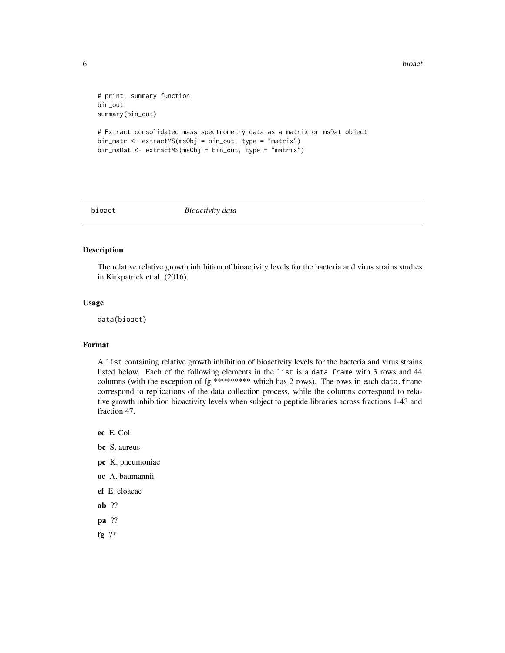<span id="page-5-0"></span>**6** bioact **bioact bioact bioact bioact bioact bioact bioact bioact bioact** 

```
# print, summary function
bin_out
summary(bin_out)
# Extract consolidated mass spectrometry data as a matrix or msDat object
bin_matr <- extractMS(msObj = bin_out, type = "matrix")
bin_msDat <- extractMS(msObj = bin_out, type = "matrix")
```
bioact *Bioactivity data*

# Description

The relative relative growth inhibition of bioactivity levels for the bacteria and virus strains studies in Kirkpatrick et al. (2016).

#### Usage

data(bioact)

# Format

A list containing relative growth inhibition of bioactivity levels for the bacteria and virus strains listed below. Each of the following elements in the list is a data.frame with 3 rows and 44 columns (with the exception of  $fg$  \*\*\*\*\*\*\*\*\* which has 2 rows). The rows in each data.frame correspond to replications of the data collection process, while the columns correspond to relative growth inhibition bioactivity levels when subject to peptide libraries across fractions 1-43 and fraction 47.

ec E. Coli

bc S. aureus

- pc K. pneumoniae
- oc A. baumannii
- ef E. cloacae
- ab ??
- pa ??
- fg ??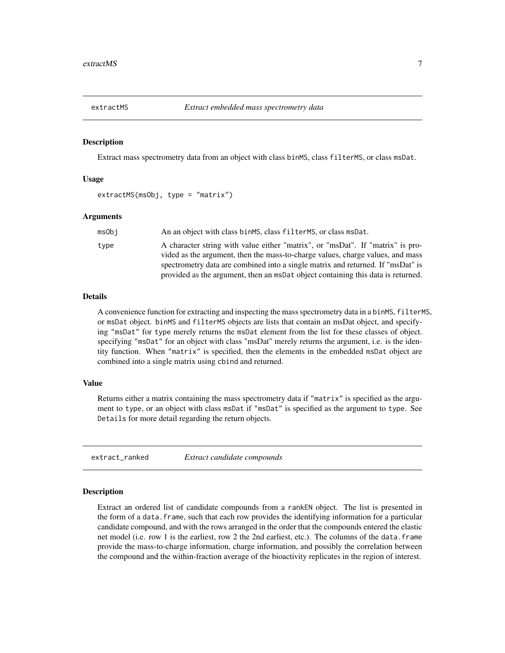<span id="page-6-0"></span>

#### Description

Extract mass spectrometry data from an object with class binMS, class filterMS, or class msDat.

#### Usage

extractMS(msObj, type = "matrix")

#### Arguments

| msObi | An an object with class binMS, class filterMS, or class msDat.                                                                                                                                                                                                                                                                          |
|-------|-----------------------------------------------------------------------------------------------------------------------------------------------------------------------------------------------------------------------------------------------------------------------------------------------------------------------------------------|
| type  | A character string with value either "matrix", or "msDat". If "matrix" is pro-<br>vided as the argument, then the mass-to-charge values, charge values, and mass<br>spectrometry data are combined into a single matrix and returned. If "msDat" is<br>provided as the argument, then an msDat object containing this data is returned. |
|       |                                                                                                                                                                                                                                                                                                                                         |

#### **Details**

A convenience function for extracting and inspecting the mass spectrometry data in a binMS, filterMS, or msDat object. binMS and filterMS objects are lists that contain an msDat object, and specifying "msDat" for type merely returns the msDat element from the list for these classes of object. specifying "msDat" for an object with class "msDat" merely returns the argument, i.e. is the identity function. When "matrix" is specified, then the elements in the embedded msDat object are combined into a single matrix using cbind and returned.

#### Value

Returns either a matrix containing the mass spectrometry data if "matrix" is specified as the argument to type, or an object with class msDat if "msDat" is specified as the argument to type. See Details for more detail regarding the return objects.

extract\_ranked *Extract candidate compounds*

#### Description

Extract an ordered list of candidate compounds from a rankEN object. The list is presented in the form of a data.frame, such that each row provides the identifying information for a particular candidate compound, and with the rows arranged in the order that the compounds entered the elastic net model (i.e. row 1 is the earliest, row 2 the 2nd earliest, etc.). The columns of the data.frame provide the mass-to-charge information, charge information, and possibly the correlation between the compound and the within-fraction average of the bioactivity replicates in the region of interest.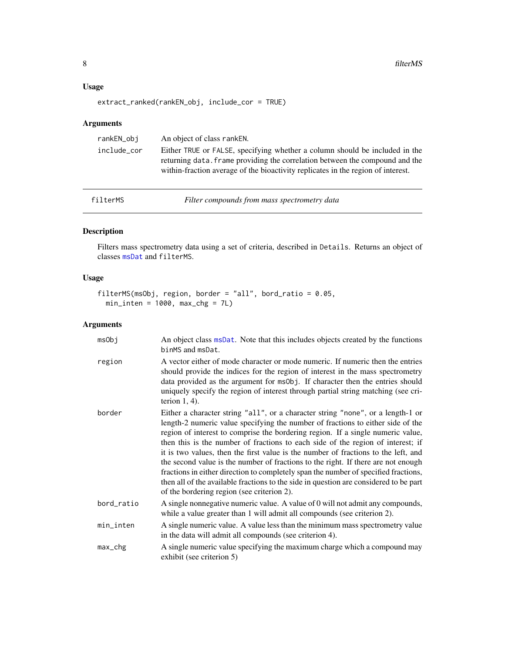# <span id="page-7-0"></span>Usage

```
extract_ranked(rankEN_obj, include_cor = TRUE)
```
# Arguments

| rankEN_obi  | An object of class ranken.                                                                                                                                                                                                                      |
|-------------|-------------------------------------------------------------------------------------------------------------------------------------------------------------------------------------------------------------------------------------------------|
| include_cor | Either TRUE or FALSE, specifying whether a column should be included in the<br>returning data. Frame providing the correlation between the compound and the<br>within-fraction average of the bioactivity replicates in the region of interest. |

<span id="page-7-1"></span>filterMS *Filter compounds from mass spectrometry data*

# Description

Filters mass spectrometry data using a set of criteria, described in Details. Returns an object of classes [msDat](#page-10-1) and filterMS.

# Usage

```
filterMS(msObj, region, border = "all", bord_ratio = 0.05,
  min\_inten = 1000, max\_chg = 7L)
```

| msObj         | An object class msDat. Note that this includes objects created by the functions<br>binMS and msDat.                                                                                                                                                                                                                                                                                                                                                                                                                                                                                                                                                                                                                                               |
|---------------|---------------------------------------------------------------------------------------------------------------------------------------------------------------------------------------------------------------------------------------------------------------------------------------------------------------------------------------------------------------------------------------------------------------------------------------------------------------------------------------------------------------------------------------------------------------------------------------------------------------------------------------------------------------------------------------------------------------------------------------------------|
| region        | A vector either of mode character or mode numeric. If numeric then the entries<br>should provide the indices for the region of interest in the mass spectrometry<br>data provided as the argument for ms0bj. If character then the entries should<br>uniquely specify the region of interest through partial string matching (see cri-<br>terion $1, 4$ ).                                                                                                                                                                                                                                                                                                                                                                                        |
| border        | Either a character string "all", or a character string "none", or a length-1 or<br>length-2 numeric value specifying the number of fractions to either side of the<br>region of interest to comprise the bordering region. If a single numeric value,<br>then this is the number of fractions to each side of the region of interest; if<br>it is two values, then the first value is the number of fractions to the left, and<br>the second value is the number of fractions to the right. If there are not enough<br>fractions in either direction to completely span the number of specified fractions,<br>then all of the available fractions to the side in question are considered to be part<br>of the bordering region (see criterion 2). |
| bord_ratio    | A single nonnegative numeric value. A value of 0 will not admit any compounds,<br>while a value greater than 1 will admit all compounds (see criterion 2).                                                                                                                                                                                                                                                                                                                                                                                                                                                                                                                                                                                        |
| min_inten     | A single numeric value. A value less than the minimum mass spectrometry value<br>in the data will admit all compounds (see criterion 4).                                                                                                                                                                                                                                                                                                                                                                                                                                                                                                                                                                                                          |
| $max_{1}$ chg | A single numeric value specifying the maximum charge which a compound may<br>exhibit (see criterion 5)                                                                                                                                                                                                                                                                                                                                                                                                                                                                                                                                                                                                                                            |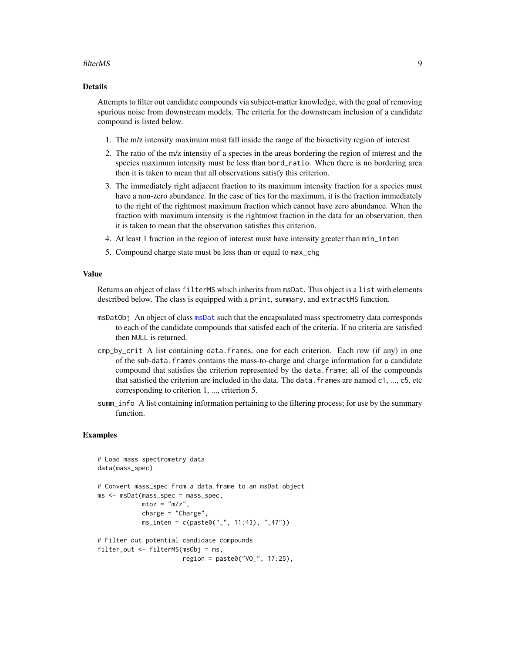#### <span id="page-8-0"></span>filterMS 9

### Details

Attempts to filter out candidate compounds via subject-matter knowledge, with the goal of removing spurious noise from downstream models. The criteria for the downstream inclusion of a candidate compound is listed below.

- 1. The m/z intensity maximum must fall inside the range of the bioactivity region of interest
- 2. The ratio of the m/z intensity of a species in the areas bordering the region of interest and the species maximum intensity must be less than bord\_ratio. When there is no bordering area then it is taken to mean that all observations satisfy this criterion.
- 3. The immediately right adjacent fraction to its maximum intensity fraction for a species must have a non-zero abundance. In the case of ties for the maximum, it is the fraction immediately to the right of the rightmost maximum fraction which cannot have zero abundance. When the fraction with maximum intensity is the rightmost fraction in the data for an observation, then it is taken to mean that the observation satisfies this criterion.
- 4. At least 1 fraction in the region of interest must have intensity greater than min\_inten
- 5. Compound charge state must be less than or equal to max\_chg

#### Value

Returns an object of class filterMS which inherits from msDat. This object is a list with elements described below. The class is equipped with a print, summary, and extractMS function.

- msDatObj An object of class [msDat](#page-10-1) such that the encapsulated mass spectrometry data corresponds to each of the candidate compounds that satisfed each of the criteria. If no criteria are satisfied then NULL is returned.
- cmp\_by\_crit A list containing data.frames, one for each criterion. Each row (if any) in one of the sub-data.frames contains the mass-to-charge and charge information for a candidate compound that satisfies the criterion represented by the data.frame; all of the compounds that satisfied the criterion are included in the data. The data. frames are named  $c_1$ , ...,  $c_5$ , etc corresponding to criterion 1, ..., criterion 5.
- summ\_info A list containing information pertaining to the filtering process; for use by the summary function.

#### Examples

```
# Load mass spectrometry data
data(mass_spec)
# Convert mass_spec from a data.frame to an msDat object
ms <- msDat(mass_spec = mass_spec,
           mtoz = "m/z",
            charge = "Charge",
            ms_inten = c(paste0("_", 11:43), "_47"))
# Filter out potential candidate compounds
filter_out <- filterMS(msObj = ms,
                       region = paste0("VO_", 17:25),
```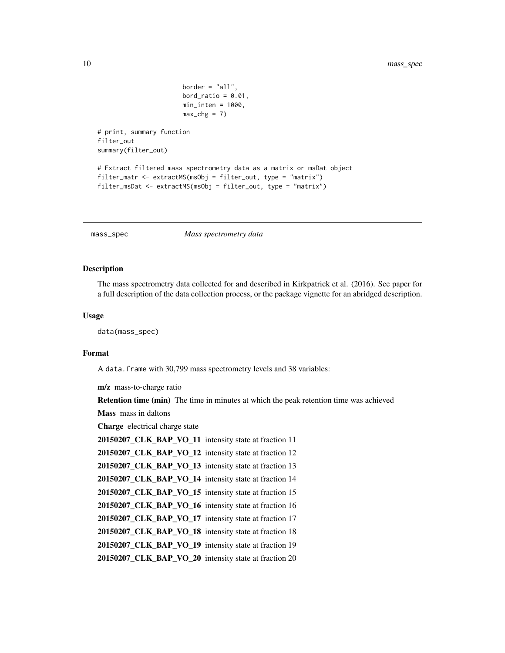```
border = "all",bord_ratio = 0.01,
                       min\_inten = 1000,
                       max_c hg = 7# print, summary function
filter_out
summary(filter_out)
# Extract filtered mass spectrometry data as a matrix or msDat object
filter_matr <- extractMS(msObj = filter_out, type = "matrix")
filter_msDat <- extractMS(msObj = filter_out, type = "matrix")
```
mass\_spec *Mass spectrometry data*

### **Description**

The mass spectrometry data collected for and described in Kirkpatrick et al. (2016). See paper for a full description of the data collection process, or the package vignette for an abridged description.

#### Usage

data(mass\_spec)

# Format

A data. frame with 30,799 mass spectrometry levels and 38 variables:

m/z mass-to-charge ratio

**Retention time (min)** The time in minutes at which the peak retention time was achieved

Mass mass in daltons

Charge electrical charge state

20150207\_CLK\_BAP\_VO\_11 intensity state at fraction 11

```
20150207_CLK_BAP_VO_12 intensity state at fraction 12
```
20150207\_CLK\_BAP\_VO\_13 intensity state at fraction 13

20150207\_CLK\_BAP\_VO\_14 intensity state at fraction 14

20150207\_CLK\_BAP\_VO\_15 intensity state at fraction 15

20150207\_CLK\_BAP\_VO\_16 intensity state at fraction 16

20150207\_CLK\_BAP\_VO\_17 intensity state at fraction 17

20150207\_CLK\_BAP\_VO\_18 intensity state at fraction 18

20150207\_CLK\_BAP\_VO\_19 intensity state at fraction 19

20150207\_CLK\_BAP\_VO\_20 intensity state at fraction 20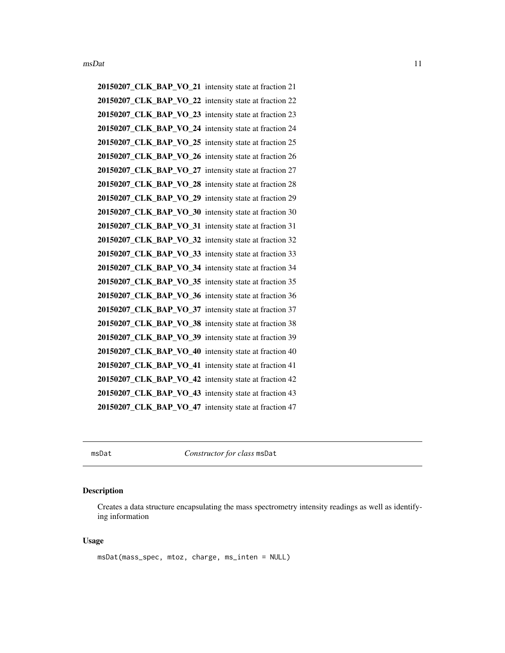<span id="page-10-0"></span>20150207\_CLK\_BAP\_VO\_21 intensity state at fraction 21 20150207 CLK BAP VO 22 intensity state at fraction 22 20150207\_CLK\_BAP\_VO\_23 intensity state at fraction 23 20150207\_CLK\_BAP\_VO\_24 intensity state at fraction 24 20150207\_CLK\_BAP\_VO\_25 intensity state at fraction 25 20150207\_CLK\_BAP\_VO\_26 intensity state at fraction 26 20150207\_CLK\_BAP\_VO\_27 intensity state at fraction 27 20150207\_CLK\_BAP\_VO\_28 intensity state at fraction 28 20150207\_CLK\_BAP\_VO\_29 intensity state at fraction 29 20150207\_CLK\_BAP\_VO\_30 intensity state at fraction 30 20150207\_CLK\_BAP\_VO\_31 intensity state at fraction 31 20150207\_CLK\_BAP\_VO\_32 intensity state at fraction 32 20150207\_CLK\_BAP\_VO\_33 intensity state at fraction 33 20150207\_CLK\_BAP\_VO\_34 intensity state at fraction 34 20150207\_CLK\_BAP\_VO\_35 intensity state at fraction 35 20150207\_CLK\_BAP\_VO\_36 intensity state at fraction 36 20150207 CLK BAP VO 37 intensity state at fraction 37 20150207\_CLK\_BAP\_VO\_38 intensity state at fraction 38 20150207\_CLK\_BAP\_VO\_39 intensity state at fraction 39 20150207\_CLK\_BAP\_VO\_40 intensity state at fraction 40 20150207\_CLK\_BAP\_VO\_41 intensity state at fraction 41 20150207\_CLK\_BAP\_VO\_42 intensity state at fraction 42 20150207\_CLK\_BAP\_VO\_43 intensity state at fraction 43 20150207\_CLK\_BAP\_VO\_47 intensity state at fraction 47

<span id="page-10-1"></span>msDat *Constructor for class* msDat

# **Description**

Creates a data structure encapsulating the mass spectrometry intensity readings as well as identifying information

#### Usage

```
msDat(mass_spec, mtoz, charge, ms_inten = NULL)
```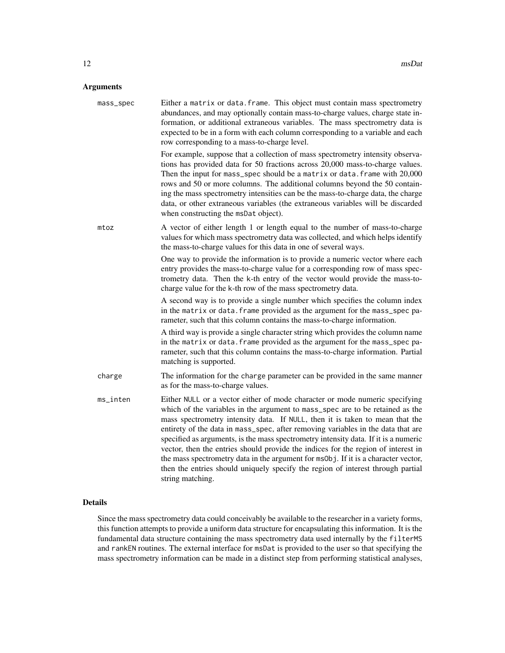# Arguments

| mass_spec | Either a matrix or data. frame. This object must contain mass spectrometry<br>abundances, and may optionally contain mass-to-charge values, charge state in-<br>formation, or additional extraneous variables. The mass spectrometry data is<br>expected to be in a form with each column corresponding to a variable and each<br>row corresponding to a mass-to-charge level.                                                                                                                                                                                                                                                                                                                            |
|-----------|-----------------------------------------------------------------------------------------------------------------------------------------------------------------------------------------------------------------------------------------------------------------------------------------------------------------------------------------------------------------------------------------------------------------------------------------------------------------------------------------------------------------------------------------------------------------------------------------------------------------------------------------------------------------------------------------------------------|
|           | For example, suppose that a collection of mass spectrometry intensity observa-<br>tions has provided data for 50 fractions across 20,000 mass-to-charge values.<br>Then the input for mass_spec should be a matrix or data. frame with 20,000<br>rows and 50 or more columns. The additional columns beyond the 50 contain-<br>ing the mass spectrometry intensities can be the mass-to-charge data, the charge<br>data, or other extraneous variables (the extraneous variables will be discarded<br>when constructing the msDat object).                                                                                                                                                                |
| mtoz      | A vector of either length 1 or length equal to the number of mass-to-charge<br>values for which mass spectrometry data was collected, and which helps identify<br>the mass-to-charge values for this data in one of several ways.                                                                                                                                                                                                                                                                                                                                                                                                                                                                         |
|           | One way to provide the information is to provide a numeric vector where each<br>entry provides the mass-to-charge value for a corresponding row of mass spec-<br>trometry data. Then the k-th entry of the vector would provide the mass-to-<br>charge value for the k-th row of the mass spectrometry data.                                                                                                                                                                                                                                                                                                                                                                                              |
|           | A second way is to provide a single number which specifies the column index<br>in the matrix or data. frame provided as the argument for the mass_spec pa-<br>rameter, such that this column contains the mass-to-charge information.                                                                                                                                                                                                                                                                                                                                                                                                                                                                     |
|           | A third way is provide a single character string which provides the column name<br>in the matrix or data. frame provided as the argument for the mass_spec pa-<br>rameter, such that this column contains the mass-to-charge information. Partial<br>matching is supported.                                                                                                                                                                                                                                                                                                                                                                                                                               |
| charge    | The information for the charge parameter can be provided in the same manner<br>as for the mass-to-charge values.                                                                                                                                                                                                                                                                                                                                                                                                                                                                                                                                                                                          |
| ms_inten  | Either NULL or a vector either of mode character or mode numeric specifying<br>which of the variables in the argument to mass_spec are to be retained as the<br>mass spectrometry intensity data. If NULL, then it is taken to mean that the<br>entirety of the data in mass_spec, after removing variables in the data that are<br>specified as arguments, is the mass spectrometry intensity data. If it is a numeric<br>vector, then the entries should provide the indices for the region of interest in<br>the mass spectrometry data in the argument for ms0bj. If it is a character vector,<br>then the entries should uniquely specify the region of interest through partial<br>string matching. |

### Details

Since the mass spectrometry data could conceivably be available to the researcher in a variety forms, this function attempts to provide a uniform data structure for encapsulating this information. It is the fundamental data structure containing the mass spectrometry data used internally by the filterMS and rankEN routines. The external interface for msDat is provided to the user so that specifying the mass spectrometry information can be made in a distinct step from performing statistical analyses,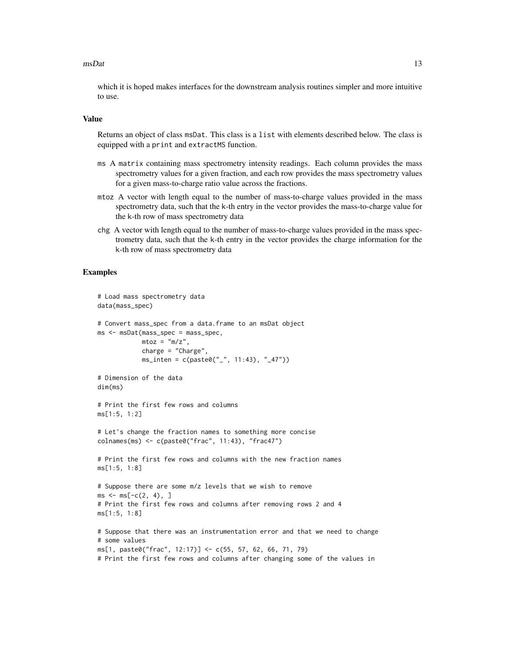#### $\text{m}S$  at the set of  $\text{m}S$  at the set of  $\text{m}S$  at the set of  $\text{m}S$  at the set of  $\text{m}S$  at the set of  $\text{m}S$  at the set of  $\text{m}S$  at the set of  $\text{m}S$  at the set of  $\text{m}S$  at the set of  $\text{m}S$  at th

which it is hoped makes interfaces for the downstream analysis routines simpler and more intuitive to use.

#### Value

Returns an object of class msDat. This class is a list with elements described below. The class is equipped with a print and extractMS function.

- ms A matrix containing mass spectrometry intensity readings. Each column provides the mass spectrometry values for a given fraction, and each row provides the mass spectrometry values for a given mass-to-charge ratio value across the fractions.
- mtoz A vector with length equal to the number of mass-to-charge values provided in the mass spectrometry data, such that the k-th entry in the vector provides the mass-to-charge value for the k-th row of mass spectrometry data
- chg A vector with length equal to the number of mass-to-charge values provided in the mass spectrometry data, such that the k-th entry in the vector provides the charge information for the k-th row of mass spectrometry data

### Examples

```
# Load mass spectrometry data
data(mass_spec)
# Convert mass_spec from a data.frame to an msDat object
ms <- msDat(mass_spec = mass_spec,
            mtoz = m/z,
            charge = "Charge",
            ms_inten = c(paste0("_", 11:43), "_47"))
# Dimension of the data
dim(ms)
# Print the first few rows and columns
ms[1:5, 1:2]
# Let's change the fraction names to something more concise
colnames(ms) <- c(paste0("frac", 11:43), "frac47")
# Print the first few rows and columns with the new fraction names
ms[1:5, 1:8]
# Suppose there are some m/z levels that we wish to remove
ms < - ms[-c(2, 4), ]# Print the first few rows and columns after removing rows 2 and 4
ms[1:5, 1:8]
# Suppose that there was an instrumentation error and that we need to change
# some values
ms[1, paste0("frac", 12:17)] <- c(55, 57, 62, 66, 71, 79)
# Print the first few rows and columns after changing some of the values in
```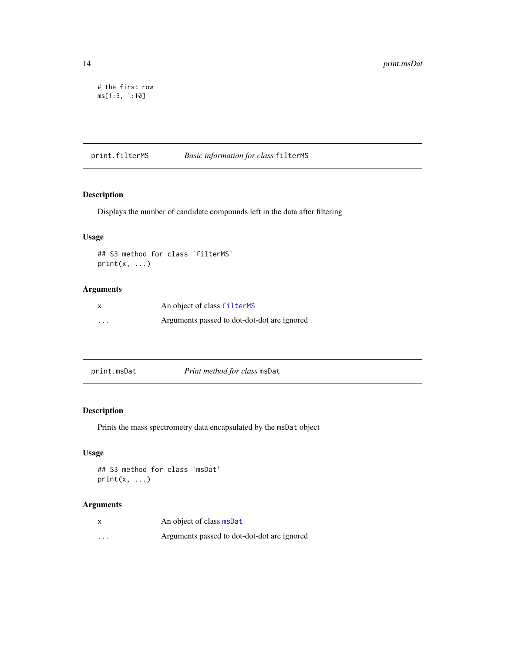```
# the first row
ms[1:5, 1:10]
```
print.filterMS *Basic information for class* filterMS

# Description

Displays the number of candidate compounds left in the data after filtering

#### Usage

## S3 method for class 'filterMS'  $print(x, \ldots)$ 

# Arguments

| X | An object of class filterMS                 |
|---|---------------------------------------------|
| . | Arguments passed to dot-dot-dot are ignored |

# Description

Prints the mass spectrometry data encapsulated by the msDat object

# Usage

```
## S3 method for class 'msDat'
print(x, \ldots)
```

|          | An object of class msDat                    |
|----------|---------------------------------------------|
| $\cdots$ | Arguments passed to dot-dot-dot are ignored |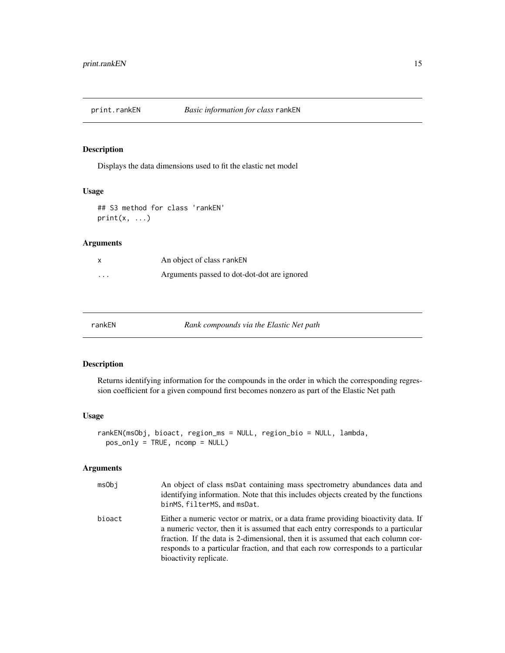<span id="page-14-0"></span>

# Description

Displays the data dimensions used to fit the elastic net model

#### Usage

## S3 method for class 'rankEN'  $print(x, \ldots)$ 

#### Arguments

|                         | An object of class rankEN                   |
|-------------------------|---------------------------------------------|
| $\cdot$ $\cdot$ $\cdot$ | Arguments passed to dot-dot-dot are ignored |

| ∙ankEN |  |
|--------|--|
|--------|--|

rankEN *Rank compounds via the Elastic Net path*

# Description

Returns identifying information for the compounds in the order in which the corresponding regression coefficient for a given compound first becomes nonzero as part of the Elastic Net path

#### Usage

```
rankEN(msObj, bioact, region_ms = NULL, region_bio = NULL, lambda,
 pos_only = TRUE, ncomp = NULL)
```

| msObi  | An object of class msDat containing mass spectrometry abundances data and<br>identifying information. Note that this includes objects created by the functions<br>binMS, filterMS, and msDat.                                                                                                                                                                           |
|--------|-------------------------------------------------------------------------------------------------------------------------------------------------------------------------------------------------------------------------------------------------------------------------------------------------------------------------------------------------------------------------|
| bioact | Either a numeric vector or matrix, or a data frame providing bioactivity data. If<br>a numeric vector, then it is assumed that each entry corresponds to a particular<br>fraction. If the data is 2-dimensional, then it is assumed that each column cor-<br>responds to a particular fraction, and that each row corresponds to a particular<br>bioactivity replicate. |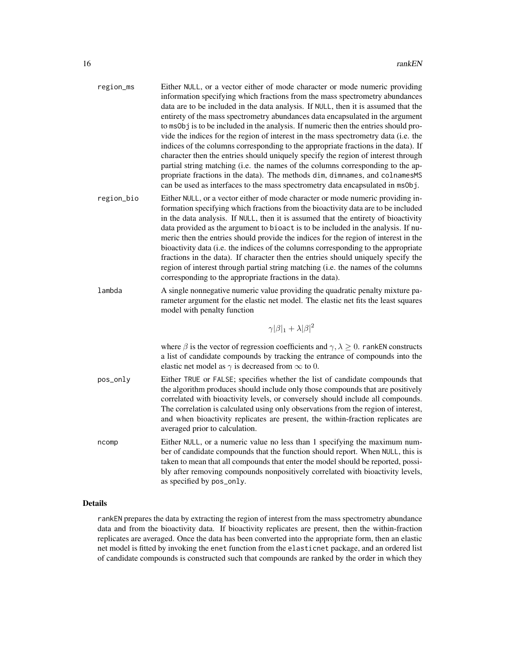| region_ms  | Either NULL, or a vector either of mode character or mode numeric providing<br>information specifying which fractions from the mass spectrometry abundances<br>data are to be included in the data analysis. If NULL, then it is assumed that the<br>entirety of the mass spectrometry abundances data encapsulated in the argument<br>to ms0bj is to be included in the analysis. If numeric then the entries should pro-<br>vide the indices for the region of interest in the mass spectrometry data (i.e. the<br>indices of the columns corresponding to the appropriate fractions in the data). If<br>character then the entries should uniquely specify the region of interest through<br>partial string matching (i.e. the names of the columns corresponding to the ap-<br>propriate fractions in the data). The methods dim, dimnames, and colnamesMS<br>can be used as interfaces to the mass spectrometry data encapsulated in ms0bj. |
|------------|--------------------------------------------------------------------------------------------------------------------------------------------------------------------------------------------------------------------------------------------------------------------------------------------------------------------------------------------------------------------------------------------------------------------------------------------------------------------------------------------------------------------------------------------------------------------------------------------------------------------------------------------------------------------------------------------------------------------------------------------------------------------------------------------------------------------------------------------------------------------------------------------------------------------------------------------------|
| region_bio | Either NULL, or a vector either of mode character or mode numeric providing in-<br>formation specifying which fractions from the bioactivity data are to be included<br>in the data analysis. If NULL, then it is assumed that the entirety of bioactivity<br>data provided as the argument to bioact is to be included in the analysis. If nu-<br>meric then the entries should provide the indices for the region of interest in the<br>bioactivity data (i.e. the indices of the columns corresponding to the appropriate<br>fractions in the data). If character then the entries should uniquely specify the<br>region of interest through partial string matching (i.e. the names of the columns<br>corresponding to the appropriate fractions in the data).                                                                                                                                                                               |
| lambda     | A single nonnegative numeric value providing the quadratic penalty mixture pa-<br>rameter argument for the elastic net model. The elastic net fits the least squares<br>model with penalty function                                                                                                                                                                                                                                                                                                                                                                                                                                                                                                                                                                                                                                                                                                                                              |
|            | $\gamma \beta _1 + \lambda \beta ^2$                                                                                                                                                                                                                                                                                                                                                                                                                                                                                                                                                                                                                                                                                                                                                                                                                                                                                                             |
|            | where $\beta$ is the vector of regression coefficients and $\gamma, \lambda \geq 0$ . rankEN constructs<br>a list of candidate compounds by tracking the entrance of compounds into the<br>elastic net model as $\gamma$ is decreased from $\infty$ to 0.                                                                                                                                                                                                                                                                                                                                                                                                                                                                                                                                                                                                                                                                                        |
| pos_only   | Either TRUE or FALSE; specifies whether the list of candidate compounds that<br>the algorithm produces should include only those compounds that are positively<br>correlated with bioactivity levels, or conversely should include all compounds.<br>The correlation is calculated using only observations from the region of interest,<br>and when bioactivity replicates are present, the within-fraction replicates are<br>averaged prior to calculation.                                                                                                                                                                                                                                                                                                                                                                                                                                                                                     |
| ncomp      | Either NULL, or a numeric value no less than 1 specifying the maximum num-<br>ber of candidate compounds that the function should report. When NULL, this is<br>taken to mean that all compounds that enter the model should be reported, possi-<br>bly after removing compounds nonpositively correlated with bioactivity levels,<br>as specified by pos_only.                                                                                                                                                                                                                                                                                                                                                                                                                                                                                                                                                                                  |

# Details

rankEN prepares the data by extracting the region of interest from the mass spectrometry abundance data and from the bioactivity data. If bioactivity replicates are present, then the within-fraction replicates are averaged. Once the data has been converted into the appropriate form, then an elastic net model is fitted by invoking the enet function from the elasticnet package, and an ordered list of candidate compounds is constructed such that compounds are ranked by the order in which they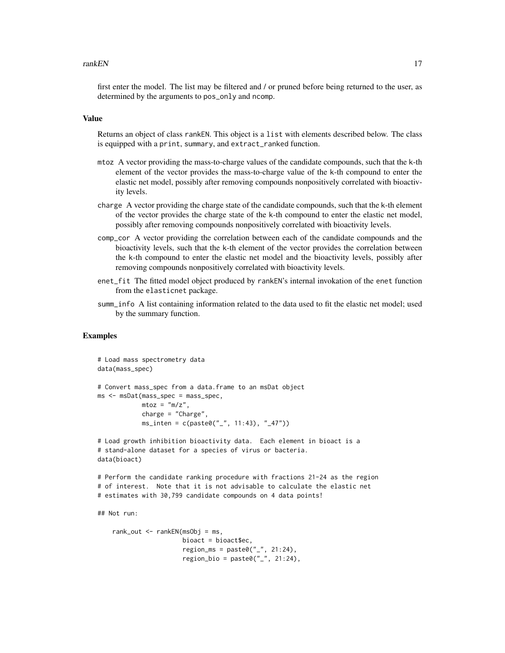#### **rankEN** 17

first enter the model. The list may be filtered and / or pruned before being returned to the user, as determined by the arguments to pos\_only and ncomp.

# Value

Returns an object of class rankEN. This object is a list with elements described below. The class is equipped with a print, summary, and extract\_ranked function.

- mtoz A vector providing the mass-to-charge values of the candidate compounds, such that the k-th element of the vector provides the mass-to-charge value of the k-th compound to enter the elastic net model, possibly after removing compounds nonpositively correlated with bioactivity levels.
- charge A vector providing the charge state of the candidate compounds, such that the k-th element of the vector provides the charge state of the k-th compound to enter the elastic net model, possibly after removing compounds nonpositively correlated with bioactivity levels.
- comp\_cor A vector providing the correlation between each of the candidate compounds and the bioactivity levels, such that the k-th element of the vector provides the correlation between the k-th compound to enter the elastic net model and the bioactivity levels, possibly after removing compounds nonpositively correlated with bioactivity levels.
- enet\_fit The fitted model object produced by rankEN's internal invokation of the enet function from the elasticnet package.
- summ\_info A list containing information related to the data used to fit the elastic net model; used by the summary function.

#### Examples

```
# Load mass spectrometry data
data(mass_spec)
# Convert mass_spec from a data.frame to an msDat object
ms <- msDat(mass_spec = mass_spec,
            mtoz = "m/z",
            charge = "Charge",
            ms_inten = c(paste0("_", 11:43), "_47"))
# Load growth inhibition bioactivity data. Each element in bioact is a
# stand-alone dataset for a species of virus or bacteria.
data(bioact)
# Perform the candidate ranking procedure with fractions 21-24 as the region
# of interest. Note that it is not advisable to calculate the elastic net
# estimates with 30,799 candidate compounds on 4 data points!
```
## Not run:

```
rank_out \leq- rankEN(msObj = ms,
                    bioact = bioact$ec,
                    region_{ms} = paste0("_{''}, 21:24),region\_bio = paste@("__", 21:24),
```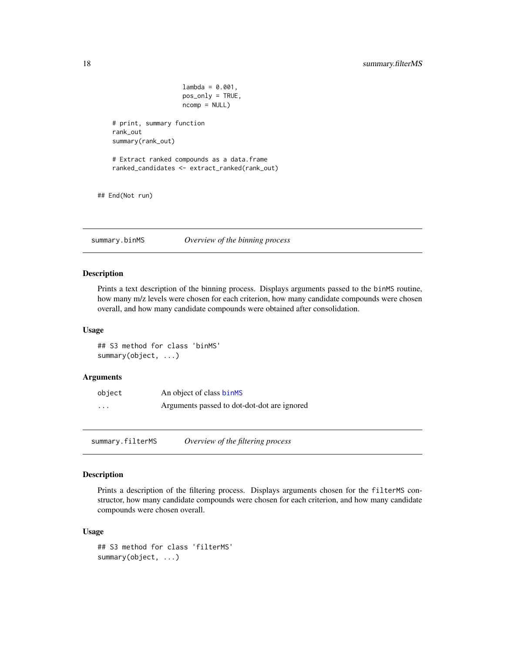```
lambda = 0.001,
                       pos_only = TRUE,
                       ncomp = NULL)
    # print, summary function
    rank_out
    summary(rank_out)
    # Extract ranked compounds as a data.frame
    ranked_candidates <- extract_ranked(rank_out)
## End(Not run)
```
summary.binMS *Overview of the binning process*

#### Description

Prints a text description of the binning process. Displays arguments passed to the binMS routine, how many m/z levels were chosen for each criterion, how many candidate compounds were chosen overall, and how many candidate compounds were obtained after consolidation.

#### Usage

## S3 method for class 'binMS' summary(object, ...)

# Arguments

| object   | An object of class binMS                    |
|----------|---------------------------------------------|
| $\cdots$ | Arguments passed to dot-dot-dot are ignored |

summary.filterMS *Overview of the filtering process*

#### Description

Prints a description of the filtering process. Displays arguments chosen for the filterMS constructor, how many candidate compounds were chosen for each criterion, and how many candidate compounds were chosen overall.

#### Usage

```
## S3 method for class 'filterMS'
summary(object, ...)
```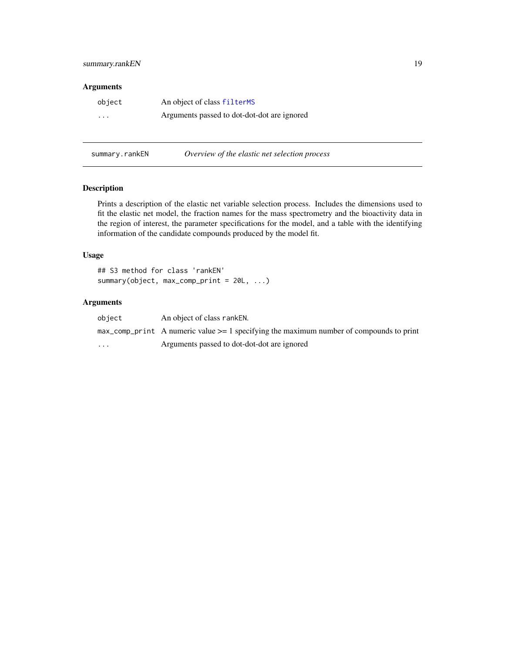# <span id="page-18-0"></span>summary.rankEN 19

#### Arguments

| object   | An object of class filterMS                 |
|----------|---------------------------------------------|
| $\cdots$ | Arguments passed to dot-dot-dot are ignored |

summary.rankEN *Overview of the elastic net selection process* 

# Description

Prints a description of the elastic net variable selection process. Includes the dimensions used to fit the elastic net model, the fraction names for the mass spectrometry and the bioactivity data in the region of interest, the parameter specifications for the model, and a table with the identifying information of the candidate compounds produced by the model fit.

# Usage

## S3 method for class 'rankEN' summary(object, max\_comp\_print = 20L, ...)

| object   | An object of class ranken.                                                                              |
|----------|---------------------------------------------------------------------------------------------------------|
|          | $max_{\text{comp\_print}}$ A numeric value $\geq$ 1 specifying the maximum number of compounds to print |
| $\cdots$ | Arguments passed to dot-dot-dot are ignored                                                             |